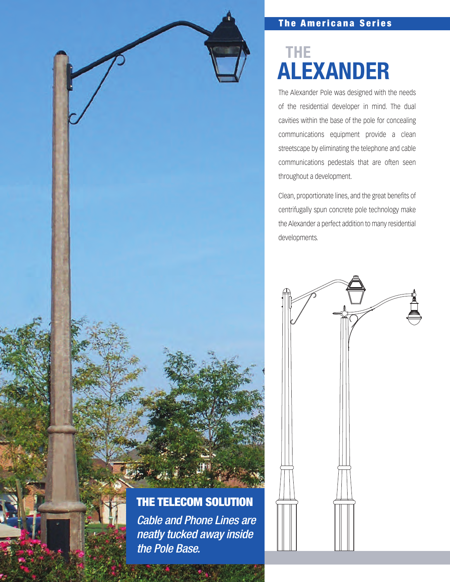

# **The Americana Series**

# **ALEXANDER THE**

The Alexander Pole was designed with the needs of the residential developer in mind. The dual cavities within the base of the pole for concealing communications equipment provide a clean streetscape by eliminating the telephone and cable communications pedestals that are often seen throughout a development.

Clean, proportionate lines, and the great benefits of centrifugally spun concrete pole technology make the Alexander a perfect addition to many residential developments.